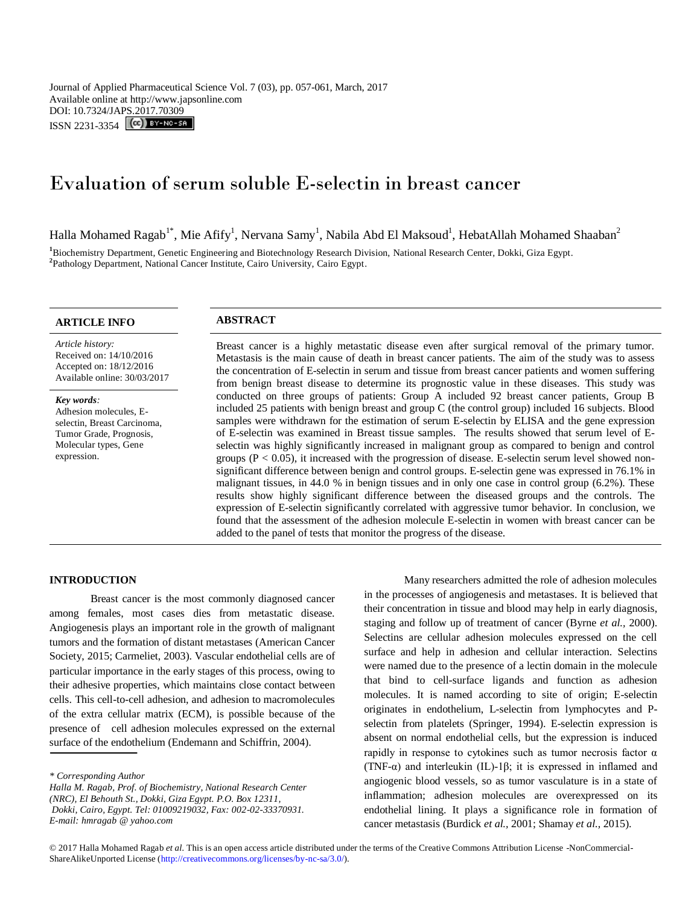Journal of Applied Pharmaceutical Science Vol. 7 (03), pp. 057-061, March, 2017 Available online at http://www.japsonline.com DOI: 10.7324/JAPS.2017.70309 ISSN 2231-3354 **CC** BY-NO-SA

# Evaluation of serum soluble E-selectin in breast cancer

Halla Mohamed Ragab $^{\rm l*}$ , Mie Afify $^{\rm l}$ , Nervana Samy $^{\rm l}$ , Nabila Abd El Maksoud $^{\rm l}$ , HebatAllah Mohamed Shaaban $^{\rm 2}$ 

**<sup>1</sup>**Biochemistry Department, Genetic Engineering and Biotechnology Research Division, National Research Center, Dokki, Giza Egypt. **2** Pathology Department, National Cancer Institute, Cairo University, Cairo Egypt.

*Article history:* Received on: 14/10/2016 Accepted on: 18/12/2016 Available online: 30/03/2017

*Key words:*  Adhesion molecules, Eselectin, Breast Carcinoma, Tumor Grade, Prognosis, Molecular types, Gene expression.

# **ARTICLE INFO ABSTRACT**

Breast cancer is a highly metastatic disease even after surgical removal of the primary tumor. Metastasis is the main cause of death in breast cancer patients. The aim of the study was to assess the concentration of E-selectin in serum and tissue from breast cancer patients and women suffering from benign breast disease to determine its prognostic value in these diseases. This study was conducted on three groups of patients: Group A included 92 breast cancer patients, Group B included 25 patients with benign breast and group C (the control group) included 16 subjects. Blood samples were withdrawn for the estimation of serum E-selectin by ELISA and the gene expression of E-selectin was examined in Breast tissue samples. The results showed that serum level of Eselectin was highly significantly increased in malignant group as compared to benign and control groups ( $P < 0.05$ ), it increased with the progression of disease. E-selectin serum level showed nonsignificant difference between benign and control groups. E-selectin gene was expressed in 76.1% in malignant tissues, in 44.0 % in benign tissues and in only one case in control group (6.2%). These results show highly significant difference between the diseased groups and the controls. The expression of E-selectin significantly correlated with aggressive tumor behavior. In conclusion, we found that the assessment of the adhesion molecule E-selectin in women with breast cancer can be added to the panel of tests that monitor the progress of the disease.

# **INTRODUCTION**

Breast cancer is the most commonly diagnosed cancer among females, most cases dies from metastatic disease. Angiogenesis plays an important role in the growth of malignant tumors and the formation of distant metastases (American Cancer Society, 2015; Carmeliet, 2003). Vascular endothelial cells are of particular importance in the early stages of this process, owing to their adhesive properties, which maintains close contact between cells. This cell-to-cell adhesion, and adhesion to macromolecules of the extra cellular matrix (ECM), is possible because of the presence of cell adhesion molecules expressed on the external surface of the endothelium (Endemann and Schiffrin, 2004).

*Halla M. Ragab, Prof. of Biochemistry, National Research Center (NRC), El Behouth St., Dokki, Giza Egypt. P.O. Box 12311, Dokki, Cairo, Egypt. Tel: 01009219032, Fax: 002-02-33370931. E-mail: hmragab @ [yahoo.com](mailto:hmragab@yahoo.com)*

Many researchers admitted the role of adhesion molecules in the processes of angiogenesis and metastases. It is believed that their concentration in tissue and blood may help in early diagnosis, staging and follow up of treatment of cancer (Byrne *et al.,* 2000). Selectins are cellular adhesion molecules expressed on the cell surface and help in adhesion and cellular interaction. Selectins were named due to the presence of a lectin domain in the molecule that bind to cell-surface ligands and function as adhesion molecules. It is named according to site of origin; E-selectin originates in endothelium, L-selectin from lymphocytes and Pselectin from platelets (Springer, 1994). E-selectin expression is absent on normal endothelial cells, but the expression is induced rapidly in response to cytokines such as tumor necrosis factor α (TNF-α) and interleukin (IL)-1β; it is expressed in inflamed and angiogenic blood vessels, so as tumor vasculature is in a state of inflammation; adhesion molecules are overexpressed on its endothelial lining. It plays a significance role in formation of cancer metastasis (Burdick *et al.,* 2001; Shamay *et al.,* 2015).

*<sup>\*</sup> Corresponding Author*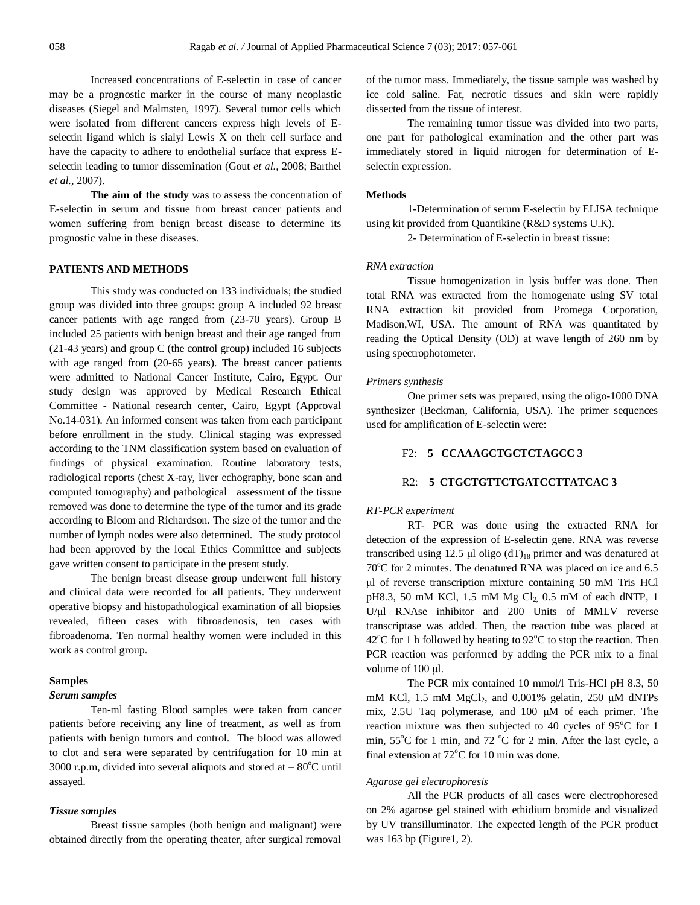Increased concentrations of E-selectin in case of cancer may be a prognostic marker in the course of many neoplastic diseases (Siegel and Malmsten, 1997). Several tumor cells which were isolated from different cancers express high levels of Eselectin ligand which is sialyl Lewis X on their cell surface and have the capacity to adhere to endothelial surface that express Eselectin leading to tumor dissemination (Gout *et al.,* 2008; Barthel *et al.,* 2007).

**The aim of the study** was to assess the concentration of E-selectin in serum and tissue from breast cancer patients and women suffering from benign breast disease to determine its prognostic value in these diseases.

#### **PATIENTS AND METHODS**

This study was conducted on 133 individuals; the studied group was divided into three groups: group A included 92 breast cancer patients with age ranged from (23-70 years). Group B included 25 patients with benign breast and their age ranged from (21-43 years) and group C (the control group) included 16 subjects with age ranged from (20-65 years). The breast cancer patients were admitted to National Cancer Institute, Cairo, Egypt. Our study design was approved by Medical Research Ethical Committee - National research center, Cairo, Egypt (Approval No.14-031). An informed consent was taken from each participant before enrollment in the study. Clinical staging was expressed according to the TNM classification system based on evaluation of findings of physical examination. Routine laboratory tests, radiological reports (chest X-ray, liver echography, bone scan and computed tomography) and pathological assessment of the tissue removed was done to determine the type of the tumor and its grade according to Bloom and Richardson. The size of the tumor and the number of lymph nodes were also determined. The study protocol had been approved by the local Ethics Committee and subjects gave written consent to participate in the present study.

The benign breast disease group underwent full history and clinical data were recorded for all patients. They underwent operative biopsy and histopathological examination of all biopsies revealed, fifteen cases with fibroadenosis, ten cases with fibroadenoma. Ten normal healthy women were included in this work as control group.

# **Samples**

# *Serum samples*

Ten-ml fasting Blood samples were taken from cancer patients before receiving any line of treatment, as well as from patients with benign tumors and control. The blood was allowed to clot and sera were separated by centrifugation for 10 min at 3000 r.p.m, divided into several aliquots and stored at  $-80^{\circ}$ C until assayed.

# *Tissue samples*

Breast tissue samples (both benign and malignant) were obtained directly from the operating theater, after surgical removal of the tumor mass. Immediately, the tissue sample was washed by ice cold saline. Fat, necrotic tissues and skin were rapidly dissected from the tissue of interest.

The remaining tumor tissue was divided into two parts, one part for pathological examination and the other part was immediately stored in liquid nitrogen for determination of Eselectin expression.

#### **Methods**

1-Determination of serum E-selectin by ELISA technique using kit provided from Quantikine (R&D systems U.K).

2- Determination of E-selectin in breast tissue:

# *RNA extraction*

Tissue homogenization in lysis buffer was done. Then total RNA was extracted from the homogenate using SV total RNA extraction kit provided from Promega Corporation, Madison,WI, USA. The amount of RNA was quantitated by reading the Optical Density (OD) at wave length of 260 nm by using spectrophotometer.

#### *Primers synthesis*

One primer sets was prepared, using the oligo-1000 DNA synthesizer (Beckman, California, USA). The primer sequences used for amplification of E-selectin were:

# F2: **5 CCAAAGCTGCTCTAGCC 3**

# R2: **5 CTGCTGTTCTGATCCTTATCAC 3**

# *RT-PCR experiment*

RT- PCR was done using the extracted RNA for detection of the expression of E-selectin gene. RNA was reverse transcribed using 12.5 μl oligo  $dT_{18}$  primer and was denatured at  $70^{\circ}$ C for 2 minutes. The denatured RNA was placed on ice and 6.5 μl of reverse transcription mixture containing 50 mM Tris HCl pH8.3, 50 mM KCl, 1.5 mM Mg  $Cl<sub>2</sub>$  0.5 mM of each dNTP, 1 U/μl RNAse inhibitor and 200 Units of MMLV reverse transcriptase was added. Then, the reaction tube was placed at  $42^{\circ}$ C for 1 h followed by heating to  $92^{\circ}$ C to stop the reaction. Then PCR reaction was performed by adding the PCR mix to a final volume of 100 μl.

The PCR mix contained 10 mmol/l Tris-HCl pH 8.3, 50 mM KCl, 1.5 mM  $MgCl<sub>2</sub>$ , and 0.001% gelatin, 250  $\mu$ M dNTPs mix, 2.5U Taq polymerase, and 100 μM of each primer. The reaction mixture was then subjected to 40 cycles of  $95^{\circ}$ C for 1 min,  $55^{\circ}$ C for 1 min, and 72  $^{\circ}$ C for 2 min. After the last cycle, a final extension at  $72^{\circ}$ C for 10 min was done.

# *Agarose gel electrophoresis*

All the PCR products of all cases were electrophoresed on 2% agarose gel stained with ethidium bromide and visualized by UV transilluminator. The expected length of the PCR product was 163 bp (Figure1, 2).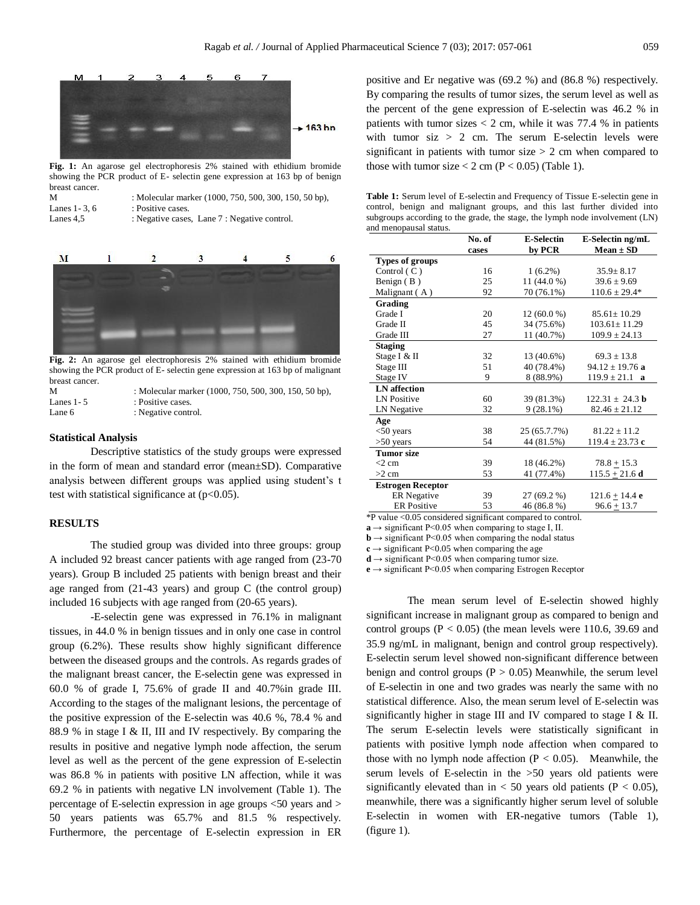

**Fig. 1:** An agarose gel electrophoresis 2% stained with ethidium bromide showing the PCR product of E- selectin gene expression at 163 bp of benign breast cancer.

| М              | : Molecular marker (1000, 750, 500, 300, 150, 50 bp), |
|----------------|-------------------------------------------------------|
| Lanes 1 - 3. 6 | : Positive cases.                                     |
| Lanes 4.5      | : Negative cases, Lane 7 : Negative control.          |



**Fig. 2:** An agarose gel electrophoresis 2% stained with ethidium bromide showing the PCR product of E- selectin gene expression at 163 bp of malignant breast cancer.

| М           | : Molecular marker (1000, 750, 500, 300, 150, 50 bp), |
|-------------|-------------------------------------------------------|
| Lanes 1 - 5 | : Positive cases.                                     |
| Lane 6      | : Negative control.                                   |

#### **Statistical Analysis**

Descriptive statistics of the study groups were expressed in the form of mean and standard error (mean±SD). Comparative analysis between different groups was applied using student's t test with statistical significance at  $(p<0.05)$ .

# **RESULTS**

The studied group was divided into three groups: group A included 92 breast cancer patients with age ranged from (23-70 years). Group B included 25 patients with benign breast and their age ranged from (21-43 years) and group C (the control group) included 16 subjects with age ranged from (20-65 years).

-E-selectin gene was expressed in 76.1% in malignant tissues, in 44.0 % in benign tissues and in only one case in control group (6.2%). These results show highly significant difference between the diseased groups and the controls. As regards grades of the malignant breast cancer, the E-selectin gene was expressed in 60.0 % of grade I, 75.6% of grade II and 40.7%in grade III. According to the stages of the malignant lesions, the percentage of the positive expression of the E-selectin was 40.6 %, 78.4 % and 88.9 % in stage I & II, III and IV respectively. By comparing the results in positive and negative lymph node affection, the serum level as well as the percent of the gene expression of E-selectin was 86.8 % in patients with positive LN affection, while it was 69.2 % in patients with negative LN involvement (Table 1). The percentage of E-selectin expression in age groups <50 years and > 50 years patients was 65.7% and 81.5 % respectively. Furthermore, the percentage of E-selectin expression in ER positive and Er negative was (69.2 %) and (86.8 %) respectively. By comparing the results of tumor sizes, the serum level as well as the percent of the gene expression of E-selectin was 46.2 % in patients with tumor sizes  $< 2$  cm, while it was 77.4 % in patients with tumor  $\rm{si}z > 2$  cm. The serum E-selectin levels were significant in patients with tumor size  $> 2$  cm when compared to those with tumor size  $< 2$  cm (P  $< 0.05$ ) (Table 1).

**Table 1:** Serum level of E-selectin and Frequency of Tissue E-selectin gene in control, benign and malignant groups, and this last further divided into subgroups according to the grade, the stage, the lymph node involvement (LN) and menopausal status.

|                                                            | No. of | <b>E-Selectin</b> | E-Selectin ng/mL      |  |  |
|------------------------------------------------------------|--------|-------------------|-----------------------|--|--|
|                                                            | cases  | by PCR            | $Mean \pm SD$         |  |  |
| Types of groups                                            |        |                   |                       |  |  |
| Control $(C)$                                              | 16     | $1(6.2\%)$        | $35.9 \pm 8.17$       |  |  |
| Benign $(B)$                                               | 25     | 11 (44.0 %)       | $39.6 \pm 9.69$       |  |  |
| Malignant (A)                                              | 92     | 70 (76.1%)        | $110.6 \pm 29.4*$     |  |  |
| Grading                                                    |        |                   |                       |  |  |
| Grade I                                                    | 20     | $12(60.0\%)$      | $85.61 \pm 10.29$     |  |  |
| Grade II                                                   | 45     | 34 (75.6%)        | $103.61 \pm 11.29$    |  |  |
| Grade III                                                  | 27     | 11 (40.7%)        | $109.9 \pm 24.13$     |  |  |
| <b>Staging</b>                                             |        |                   |                       |  |  |
| Stage I & II                                               | 32     | 13 (40.6%)        | $69.3 \pm 13.8$       |  |  |
| Stage III                                                  | 51     | 40 (78.4%)        | $94.12 \pm 19.76$ a   |  |  |
| Stage IV                                                   | 9      | 8 (88.9%)         | $119.9 \pm 21.1$<br>a |  |  |
| <b>LN</b> affection                                        |        |                   |                       |  |  |
| <b>LN</b> Positive                                         | 60     | 39 (81.3%)        | $122.31 \pm 24.3$ b   |  |  |
| LN Negative                                                | 32     | $9(28.1\%)$       | $82.46 \pm 21.12$     |  |  |
| Age                                                        |        |                   |                       |  |  |
| $<$ 50 years                                               | 38     | 25 (65.7.7%)      | $81.22 \pm 11.2$      |  |  |
| $>50$ years                                                | 54     | 44 (81.5%)        | $119.4 \pm 23.73$ c   |  |  |
| <b>Tumor</b> size                                          |        |                   |                       |  |  |
| $<$ 2 cm                                                   | 39     | 18 (46.2%)        | $78.8 + 15.3$         |  |  |
| $>2$ cm                                                    | 53     | 41 (77.4%)        | $115.5 \pm 21.6$ d    |  |  |
| <b>Estrogen Receptor</b>                                   |        |                   |                       |  |  |
| <b>ER</b> Negative                                         | 39     | 27 (69.2 %)       | $121.6 + 14.4$ e      |  |  |
| <b>ER</b> Positive                                         | 53     | 46 (86.8 %)       | $96.6 + 13.7$         |  |  |
| *P value <0.05 considered significant compared to control. |        |                   |                       |  |  |

 $\mathbf{a} \rightarrow$  significant P<0.05 when comparing to stage I, II.

 **significant P<0.05 when comparing the nodal status** 

 $c \rightarrow$  significant P<0.05 when comparing the age

 $d \rightarrow$  significant P<0.05 when comparing tumor size.

**e** → significant P<0.05 when comparing Estrogen Receptor

The mean serum level of E-selectin showed highly significant increase in malignant group as compared to benign and control groups  $(P < 0.05)$  (the mean levels were 110.6, 39.69 and 35.9 ng/mL in malignant, benign and control group respectively). E-selectin serum level showed non-significant difference between benign and control groups ( $P > 0.05$ ) Meanwhile, the serum level of E-selectin in one and two grades was nearly the same with no statistical difference. Also, the mean serum level of E-selectin was significantly higher in stage III and IV compared to stage I & II. The serum E-selectin levels were statistically significant in patients with positive lymph node affection when compared to those with no lymph node affection  $(P < 0.05)$ . Meanwhile, the serum levels of E-selectin in the >50 years old patients were significantly elevated than in  $< 50$  years old patients (P  $< 0.05$ ), meanwhile, there was a significantly higher serum level of soluble E-selectin in women with ER-negative tumors (Table 1), (figure 1).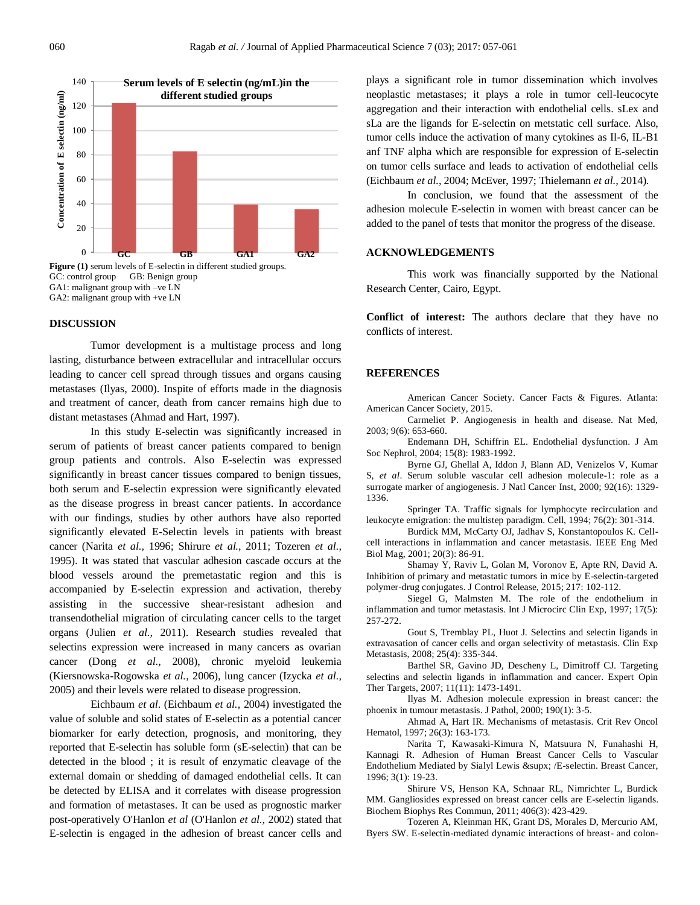

GC: control group GB: Benign group GA1: malignant group with –ve LN GA2: malignant group with +ve LN

### **DISCUSSION**

Tumor development is a multistage process and long lasting, disturbance between extracellular and intracellular occurs leading to cancer cell spread through tissues and organs causing metastases (Ilyas, 2000). Inspite of efforts made in the diagnosis and treatment of cancer, death from cancer remains high due to distant metastases (Ahmad and Hart, 1997).

In this study E-selectin was significantly increased in serum of patients of breast cancer patients compared to benign group patients and controls. Also E-selectin was expressed significantly in breast cancer tissues compared to benign tissues, both serum and E-selectin expression were significantly elevated as the disease progress in breast cancer patients. In accordance with our findings, studies by other authors have also reported significantly elevated E-Selectin levels in patients with breast cancer (Narita *et al.,* 1996; Shirure *et al.,* 2011; Tozeren *et al.,*  1995). It was stated that vascular adhesion cascade occurs at the blood vessels around the premetastatic region and this is accompanied by E-selectin expression and activation, thereby assisting in the successive shear-resistant adhesion and transendothelial migration of circulating cancer cells to the target organs (Julien *et al.,* 2011). Research studies revealed that selectins expression were increased in many cancers as ovarian cancer (Dong *et al.,* 2008), chronic myeloid leukemia (Kiersnowska-Rogowska *et al.,* 2006), lung cancer (Izycka *et al.,*  2005) and their levels were related to disease progression.

Eichbaum *et al*. (Eichbaum *et al.,* 2004) investigated the value of soluble and solid states of E-selectin as a potential cancer biomarker for early detection, prognosis, and monitoring, they reported that E-selectin has soluble form (sE-selectin) that can be detected in the blood ; it is result of enzymatic cleavage of the external domain or shedding of damaged endothelial cells. It can be detected by ELISA and it correlates with disease progression and formation of metastases. It can be used as prognostic marker post-operatively O'Hanlon *et al* (O'Hanlon *et al.,* 2002) stated that E-selectin is engaged in the adhesion of breast cancer cells and plays a significant role in tumor dissemination which involves neoplastic metastases; it plays a role in tumor cell-leucocyte aggregation and their interaction with endothelial cells. sLex and sLa are the ligands for E-selectin on metstatic cell surface. Also, tumor cells induce the activation of many cytokines as Il-6, IL-B1 anf TNF alpha which are responsible for expression of E-selectin on tumor cells surface and leads to activation of endothelial cells (Eichbaum *et al.,* 2004; McEver, 1997; Thielemann *et al.,* 2014).

In conclusion, we found that the assessment of the adhesion molecule E-selectin in women with breast cancer can be added to the panel of tests that monitor the progress of the disease.

# **ACKNOWLEDGEMENTS**

This work was financially supported by the National Research Center, Cairo, Egypt.

**Conflict of interest:** The authors declare that they have no conflicts of interest.

#### **REFERENCES**

American Cancer Society. Cancer Facts & Figures. Atlanta: American Cancer Society, 2015.

Carmeliet P. Angiogenesis in health and disease. Nat Med, 2003; 9(6): 653-660.

Endemann DH, Schiffrin EL. Endothelial dysfunction. J Am Soc Nephrol, 2004; 15(8): 1983-1992.

Byrne GJ, Ghellal A, Iddon J, Blann AD, Venizelos V, Kumar S, *et al*. Serum soluble vascular cell adhesion molecule-1: role as a surrogate marker of angiogenesis. J Natl Cancer Inst, 2000; 92(16): 1329- 1336.

Springer TA. Traffic signals for lymphocyte recirculation and leukocyte emigration: the multistep paradigm. Cell, 1994; 76(2): 301-314.

Burdick MM, McCarty OJ, Jadhav S, Konstantopoulos K. Cellcell interactions in inflammation and cancer metastasis. IEEE Eng Med Biol Mag, 2001; 20(3): 86-91.

Shamay Y, Raviv L, Golan M, Voronov E, Apte RN, David A. Inhibition of primary and metastatic tumors in mice by E-selectin-targeted polymer-drug conjugates. J Control Release, 2015; 217: 102-112.

Siegel G, Malmsten M. The role of the endothelium in inflammation and tumor metastasis. Int J Microcirc Clin Exp, 1997; 17(5): 257-272.

Gout S, Tremblay PL, Huot J. Selectins and selectin ligands in extravasation of cancer cells and organ selectivity of metastasis. Clin Exp Metastasis, 2008; 25(4): 335-344.

Barthel SR, Gavino JD, Descheny L, Dimitroff CJ. Targeting selectins and selectin ligands in inflammation and cancer. Expert Opin Ther Targets, 2007; 11(11): 1473-1491.

Ilyas M. Adhesion molecule expression in breast cancer: the phoenix in tumour metastasis. J Pathol, 2000; 190(1): 3-5.

Ahmad A, Hart IR. Mechanisms of metastasis. Crit Rev Oncol Hematol, 1997; 26(3): 163-173.

Narita T, Kawasaki-Kimura N, Matsuura N, Funahashi H, Kannagi R. Adhesion of Human Breast Cancer Cells to Vascular Endothelium Mediated by Sialyl Lewis &supx; /E-selectin. Breast Cancer, 1996; 3(1): 19-23.

Shirure VS, Henson KA, Schnaar RL, Nimrichter L, Burdick MM. Gangliosides expressed on breast cancer cells are E-selectin ligands. Biochem Biophys Res Commun, 2011; 406(3): 423-429.

Tozeren A, Kleinman HK, Grant DS, Morales D, Mercurio AM, Byers SW. E-selectin-mediated dynamic interactions of breast- and colon